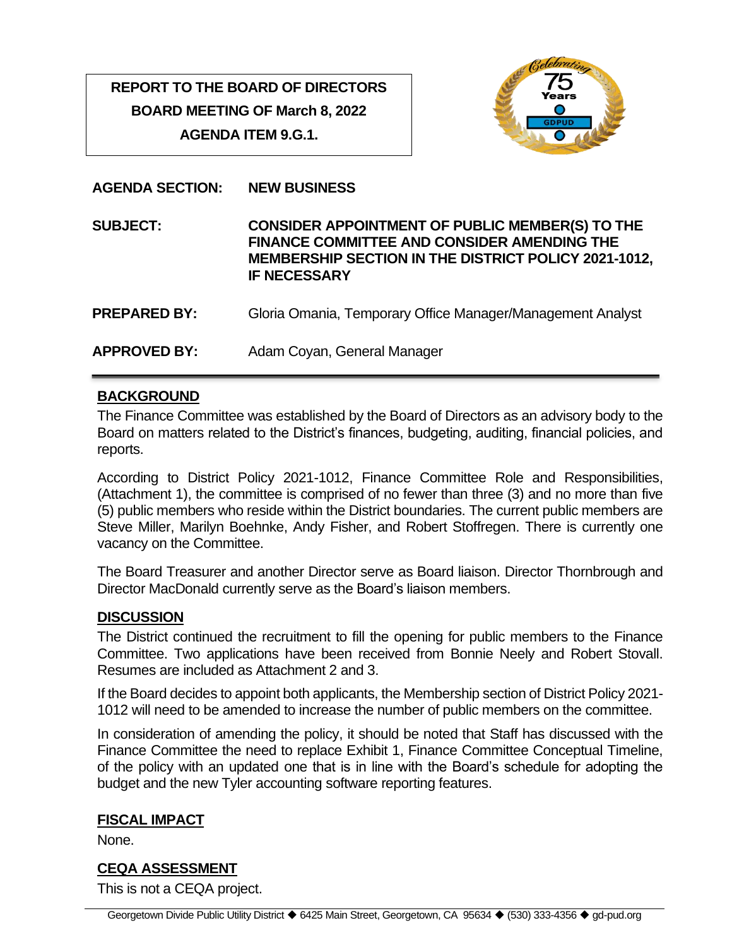# **REPORT TO THE BOARD OF DIRECTORS BOARD MEETING OF March 8, 2022 AGENDA ITEM 9.G.1.**



**AGENDA SECTION: NEW BUSINESS**

**SUBJECT: CONSIDER APPOINTMENT OF PUBLIC MEMBER(S) TO THE FINANCE COMMITTEE AND CONSIDER AMENDING THE MEMBERSHIP SECTION IN THE DISTRICT POLICY 2021-1012, IF NECESSARY**

- **PREPARED BY:** Gloria Omania, Temporary Office Manager/Management Analyst
- **APPROVED BY:** Adam Coyan, General Manager

## **BACKGROUND**

The Finance Committee was established by the Board of Directors as an advisory body to the Board on matters related to the District's finances, budgeting, auditing, financial policies, and reports.

According to District Policy 2021-1012, Finance Committee Role and Responsibilities, (Attachment 1), the committee is comprised of no fewer than three (3) and no more than five (5) public members who reside within the District boundaries. The current public members are Steve Miller, Marilyn Boehnke, Andy Fisher, and Robert Stoffregen. There is currently one vacancy on the Committee.

The Board Treasurer and another Director serve as Board liaison. Director Thornbrough and Director MacDonald currently serve as the Board's liaison members.

#### **DISCUSSION**

The District continued the recruitment to fill the opening for public members to the Finance Committee. Two applications have been received from Bonnie Neely and Robert Stovall. Resumes are included as Attachment 2 and 3.

If the Board decides to appoint both applicants, the Membership section of District Policy 2021- 1012 will need to be amended to increase the number of public members on the committee.

In consideration of amending the policy, it should be noted that Staff has discussed with the Finance Committee the need to replace Exhibit 1, Finance Committee Conceptual Timeline, of the policy with an updated one that is in line with the Board's schedule for adopting the budget and the new Tyler accounting software reporting features.

#### **FISCAL IMPACT**

None.

## **CEQA ASSESSMENT**

This is not a CEQA project.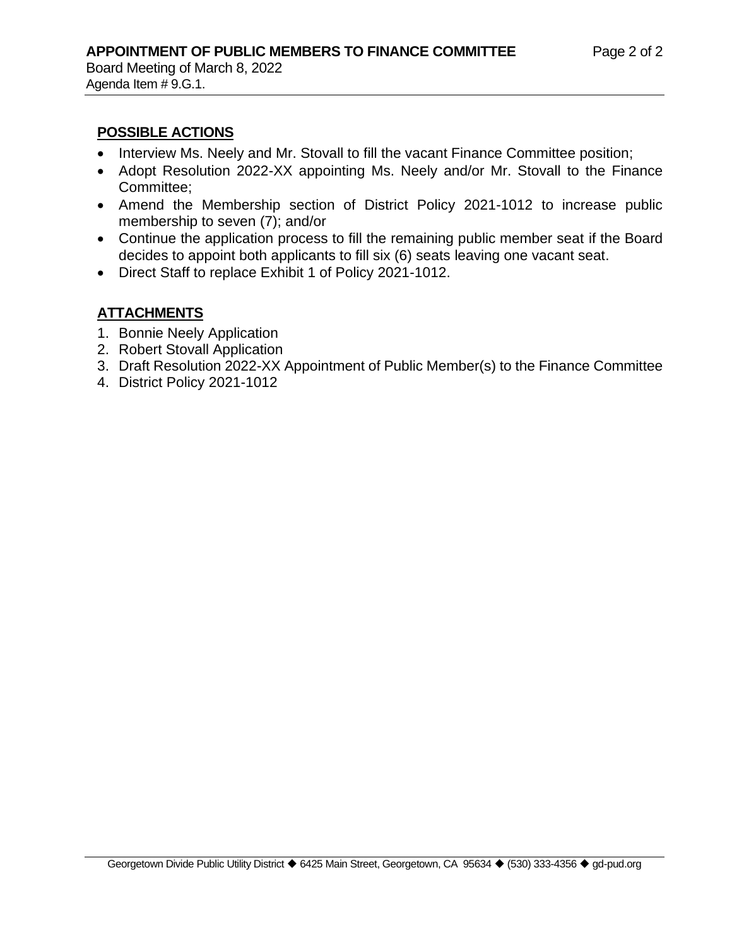Agenda Item # 9.G.1.

#### **POSSIBLE ACTIONS**

- Interview Ms. Neely and Mr. Stovall to fill the vacant Finance Committee position;
- Adopt Resolution 2022-XX appointing Ms. Neely and/or Mr. Stovall to the Finance Committee;
- Amend the Membership section of District Policy 2021-1012 to increase public membership to seven (7); and/or
- Continue the application process to fill the remaining public member seat if the Board decides to appoint both applicants to fill six (6) seats leaving one vacant seat.
- Direct Staff to replace Exhibit 1 of Policy 2021-1012.

## **ATTACHMENTS**

- 1. Bonnie Neely Application
- 2. Robert Stovall Application
- 3. Draft Resolution 2022-XX Appointment of Public Member(s) to the Finance Committee
- 4. District Policy 2021-1012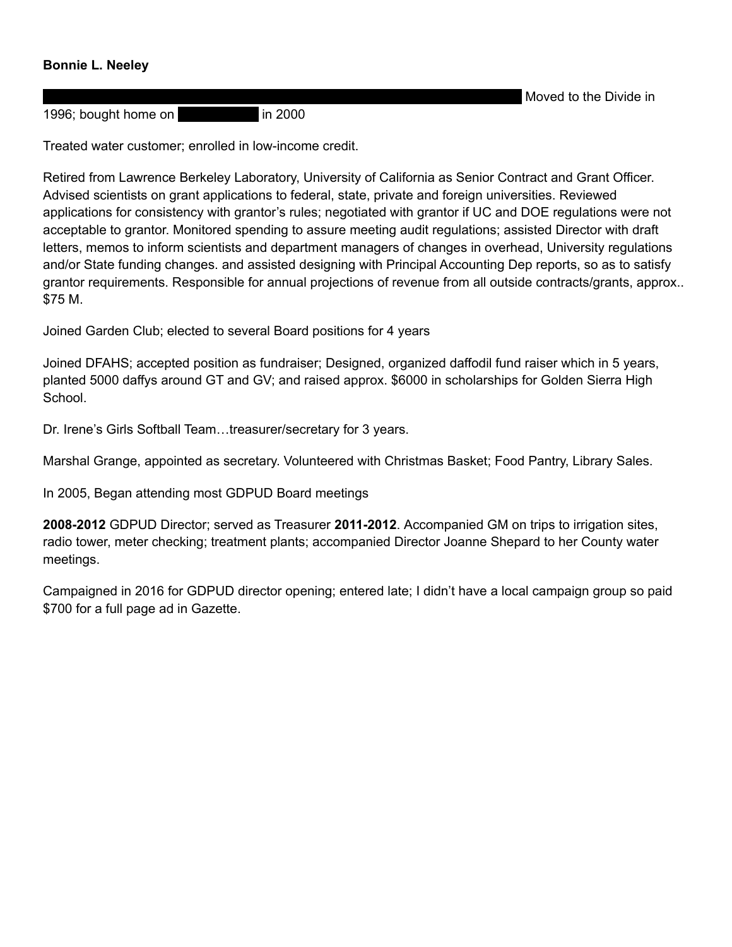#### **Bonnie L. Neeley**

1996; bought home on **Reservoir Reservoir Reservoir Reservoir Reservoir Reservoir Reservoir Reservoir Reservoir R** 

Moved to the Divide in

Treated water customer; enrolled in low-income credit.

Retired from Lawrence Berkeley Laboratory, University of California as Senior Contract and Grant Officer. Advised scientists on grant applications to federal, state, private and foreign universities. Reviewed applications for consistency with grantor's rules; negotiated with grantor if UC and DOE regulations were not acceptable to grantor. Monitored spending to assure meeting audit regulations; assisted Director with draft letters, memos to inform scientists and department managers of changes in overhead, University regulations and/or State funding changes. and assisted designing with Principal Accounting Dep reports, so as to satisfy grantor requirements. Responsible for annual projections of revenue from all outside contracts/grants, approx.. \$75 M.

Joined Garden Club; elected to several Board positions for 4 years

Joined DFAHS; accepted position as fundraiser; Designed, organized daffodil fund raiser which in 5 years, planted 5000 daffys around GT and GV; and raised approx. \$6000 in scholarships for Golden Sierra High School.

Dr. Irene's Girls Softball Team…treasurer/secretary for 3 years.

Marshal Grange, appointed as secretary. Volunteered with Christmas Basket; Food Pantry, Library Sales.

In 2005, Began attending most GDPUD Board meetings

**2008-2012** GDPUD Director; served as Treasurer **2011-2012**. Accompanied GM on trips to irrigation sites, radio tower, meter checking; treatment plants; accompanied Director Joanne Shepard to her County water meetings.

Campaigned in 2016 for GDPUD director opening; entered late; I didn't have a local campaign group so paid \$700 for a full page ad in Gazette.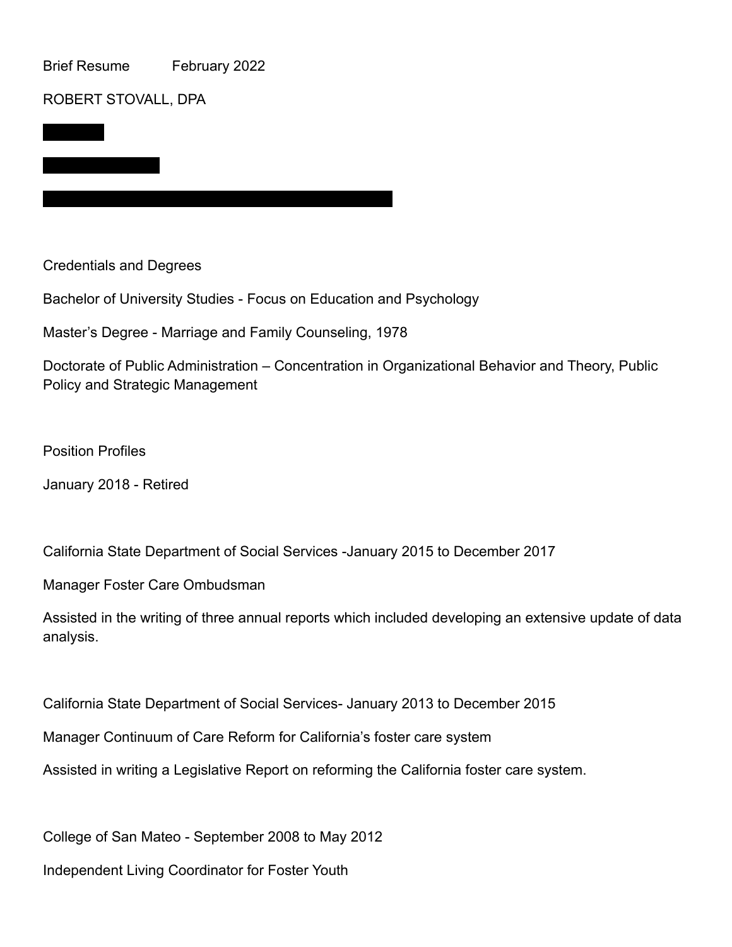Brief Resume February 2022

#### ROBERT STOVALL, DPA

PO Box 2

Credentials and Degrees

Bachelor of University Studies - Focus on Education and Psychology

Master's Degree - Marriage and Family Counseling, 1978

Phone 650-455-9922 Cell, Bob.gardenvalley@live.com

Doctorate of Public Administration – Concentration in Organizational Behavior and Theory, Public Policy and Strategic Management

Position Profiles

January 2018 - Retired

California State Department of Social Services -January 2015 to December 2017

Manager Foster Care Ombudsman

Assisted in the writing of three annual reports which included developing an extensive update of data analysis.

California State Department of Social Services- January 2013 to December 2015

Manager Continuum of Care Reform for California's foster care system

Assisted in writing a Legislative Report on reforming the California foster care system.

College of San Mateo - September 2008 to May 2012

Independent Living Coordinator for Foster Youth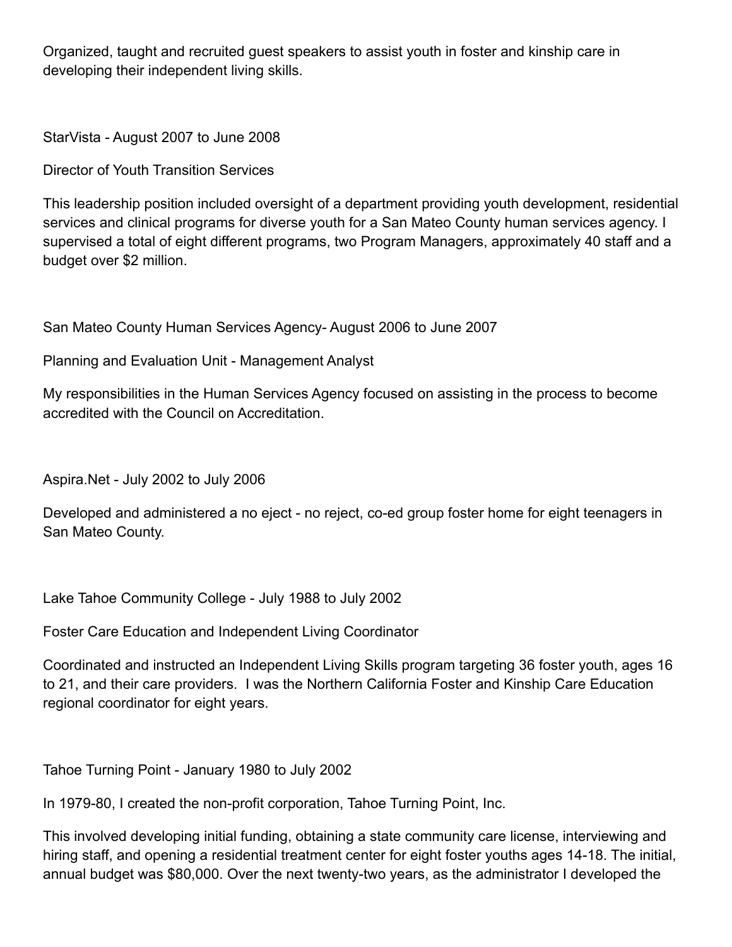Organized, taught and recruited guest speakers to assist youth in foster and kinship care in developing their independent living skills.

StarVista - August 2007 to June 2008

Director of Youth Transition Services

This leadership position included oversight of a department providing youth development, residential services and clinical programs for diverse youth for a San Mateo County human services agency. I supervised a total of eight different programs, two Program Managers, approximately 40 staff and a budget over \$2 million.

San Mateo County Human Services Agency- August 2006 to June 2007

Planning and Evaluation Unit - Management Analyst

My responsibilities in the Human Services Agency focused on assisting in the process to become accredited with the Council on Accreditation.

Aspira.Net - July 2002 to July 2006

Developed and administered a no eject - no reject, co-ed group foster home for eight teenagers in San Mateo County.

Lake Tahoe Community College - July 1988 to July 2002

Foster Care Education and Independent Living Coordinator

Coordinated and instructed an Independent Living Skills program targeting 36 foster youth, ages 16 to 21, and their care providers. I was the Northern California Foster and Kinship Care Education regional coordinator for eight years.

Tahoe Turning Point - January 1980 to July 2002

In 1979-80, I created the non-profit corporation, Tahoe Turning Point, Inc.

This involved developing initial funding, obtaining a state community care license, interviewing and hiring staff, and opening a residential treatment center for eight foster youths ages 14-18. The initial, annual budget was \$80,000. Over the next twenty-two years, as the administrator I developed the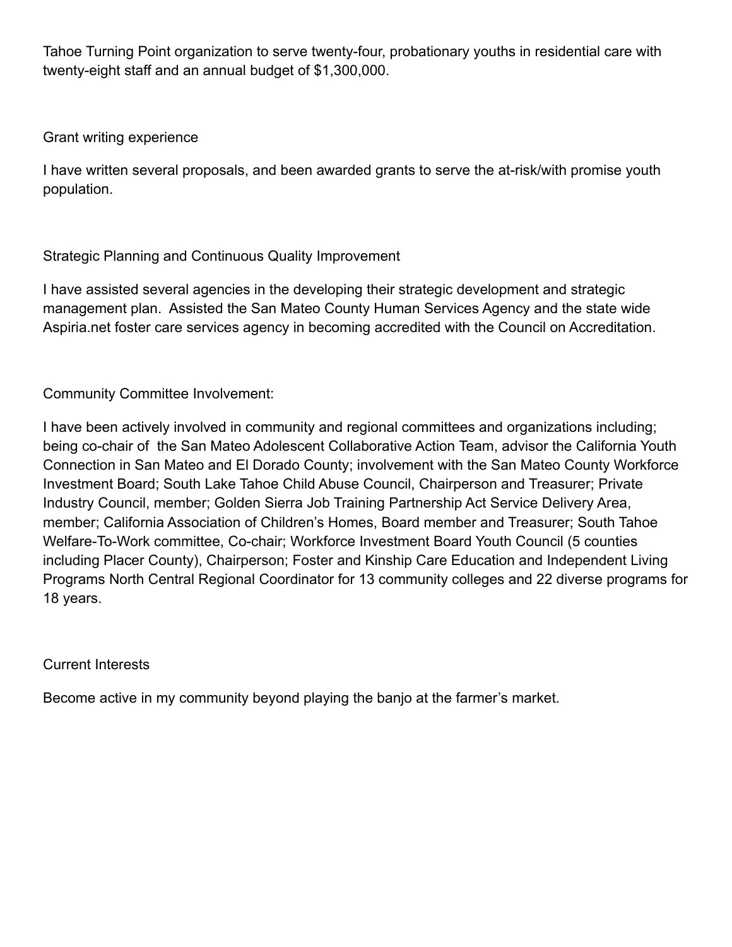Tahoe Turning Point organization to serve twenty-four, probationary youths in residential care with twenty-eight staff and an annual budget of \$1,300,000.

## Grant writing experience

I have written several proposals, and been awarded grants to serve the at-risk/with promise youth population.

## Strategic Planning and Continuous Quality Improvement

I have assisted several agencies in the developing their strategic development and strategic management plan. Assisted the San Mateo County Human Services Agency and the state wide Aspiria.net foster care services agency in becoming accredited with the Council on Accreditation.

## Community Committee Involvement:

I have been actively involved in community and regional committees and organizations including; being co-chair of the San Mateo Adolescent Collaborative Action Team, advisor the California Youth Connection in San Mateo and El Dorado County; involvement with the San Mateo County Workforce Investment Board; South Lake Tahoe Child Abuse Council, Chairperson and Treasurer; Private Industry Council, member; Golden Sierra Job Training Partnership Act Service Delivery Area, member; California Association of Children's Homes, Board member and Treasurer; South Tahoe Welfare-To-Work committee, Co-chair; Workforce Investment Board Youth Council (5 counties including Placer County), Chairperson; Foster and Kinship Care Education and Independent Living Programs North Central Regional Coordinator for 13 community colleges and 22 diverse programs for 18 years.

## Current Interests

Become active in my community beyond playing the banjo at the farmer's market.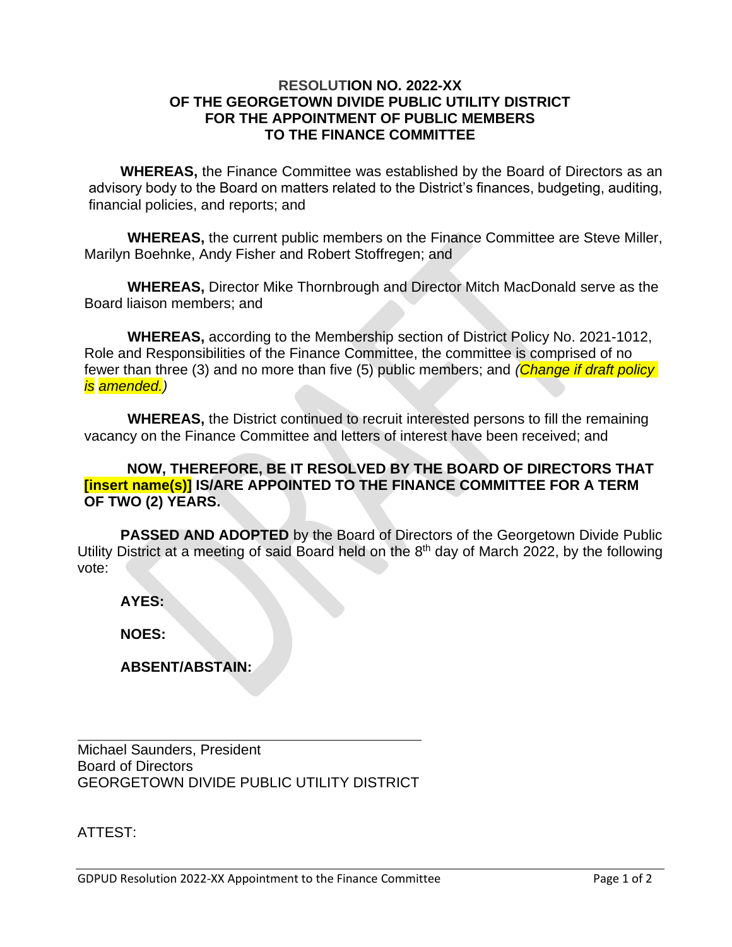#### **RESOLUTION NO. 2022-XX OF THE GEORGETOWN DIVIDE PUBLIC UTILITY DISTRICT FOR THE APPOINTMENT OF PUBLIC MEMBERS TO THE FINANCE COMMITTEE**

**WHEREAS,** the Finance Committee was established by the Board of Directors as an advisory body to the Board on matters related to the District's finances, budgeting, auditing, financial policies, and reports; and

**WHEREAS,** the current public members on the Finance Committee are Steve Miller, Marilyn Boehnke, Andy Fisher and Robert Stoffregen; and

**WHEREAS,** Director Mike Thornbrough and Director Mitch MacDonald serve as the Board liaison members; and

**WHEREAS,** according to the Membership section of District Policy No. 2021-1012, Role and Responsibilities of the Finance Committee, the committee is comprised of no fewer than three (3) and no more than five (5) public members; and *(Change if draft policy is amended.)* 

**WHEREAS,** the District continued to recruit interested persons to fill the remaining vacancy on the Finance Committee and letters of interest have been received; and

#### **NOW, THEREFORE, BE IT RESOLVED BY THE BOARD OF DIRECTORS THAT [insert name(s)] IS/ARE APPOINTED TO THE FINANCE COMMITTEE FOR A TERM OF TWO (2) YEARS.**

**PASSED AND ADOPTED** by the Board of Directors of the Georgetown Divide Public Utility District at a meeting of said Board held on the  $8<sup>th</sup>$  day of March 2022, by the following vote:

**AYES:** 

**NOES:** 

**ABSENT/ABSTAIN:** 

Michael Saunders, President Board of Directors GEORGETOWN DIVIDE PUBLIC UTILITY DISTRICT

ATTEST: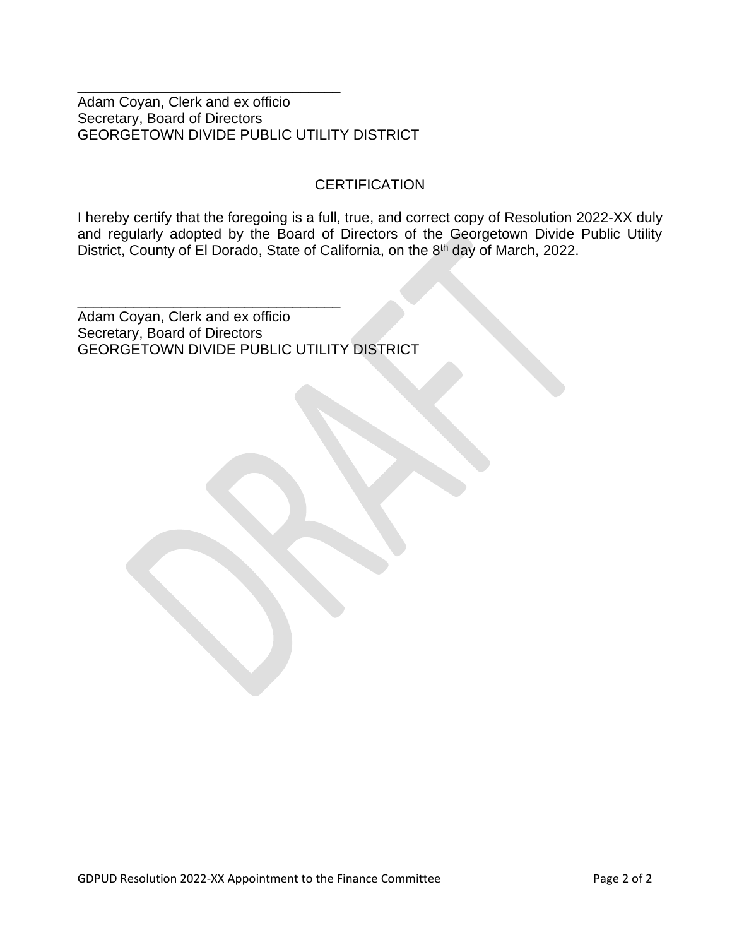Adam Coyan, Clerk and ex officio Secretary, Board of Directors GEORGETOWN DIVIDE PUBLIC UTILITY DISTRICT

\_\_\_\_\_\_\_\_\_\_\_\_\_\_\_\_\_\_\_\_\_\_\_\_\_\_\_\_\_\_\_\_\_

\_\_\_\_\_\_\_\_\_\_\_\_\_\_\_\_\_\_\_\_\_\_\_\_\_\_\_\_\_\_\_\_\_

#### **CERTIFICATION**

I hereby certify that the foregoing is a full, true, and correct copy of Resolution 2022-XX duly and regularly adopted by the Board of Directors of the Georgetown Divide Public Utility District, County of El Dorado, State of California, on the 8<sup>th</sup> day of March, 2022.

Adam Coyan, Clerk and ex officio Secretary, Board of Directors GEORGETOWN DIVIDE PUBLIC UTILITY DISTRICT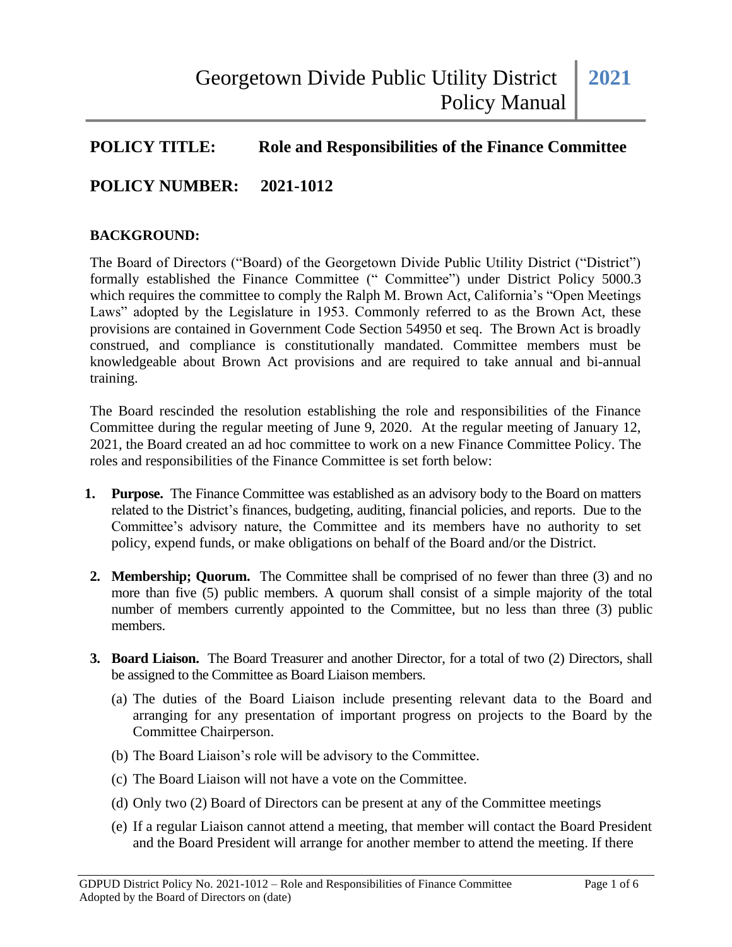## **POLICY TITLE: Role and Responsibilities of the Finance Committee**

## **POLICY NUMBER: 2021-1012**

#### **BACKGROUND:**

The Board of Directors ("Board) of the Georgetown Divide Public Utility District ("District") formally established the Finance Committee (" Committee") under District Policy 5000.3 which requires the committee to comply the Ralph M. Brown Act, California's "Open Meetings Laws" adopted by the Legislature in 1953. Commonly referred to as the Brown Act, these provisions are contained in Government Code Section 54950 et seq. The Brown Act is broadly construed, and compliance is constitutionally mandated. Committee members must be knowledgeable about Brown Act provisions and are required to take annual and bi-annual training.

The Board rescinded the resolution establishing the role and responsibilities of the Finance Committee during the regular meeting of June 9, 2020. At the regular meeting of January 12, 2021, the Board created an ad hoc committee to work on a new Finance Committee Policy. The roles and responsibilities of the Finance Committee is set forth below:

- **1. Purpose.** The Finance Committee was established as an advisory body to the Board on matters related to the District's finances, budgeting, auditing, financial policies, and reports. Due to the Committee's advisory nature, the Committee and its members have no authority to set policy, expend funds, or make obligations on behalf of the Board and/or the District.
- **2. Membership; Quorum.** The Committee shall be comprised of no fewer than three (3) and no more than five (5) public members. A quorum shall consist of a simple majority of the total number of members currently appointed to the Committee, but no less than three (3) public members.
- **3. Board Liaison.** The Board Treasurer and another Director, for a total of two (2) Directors, shall be assigned to the Committee as Board Liaison members.
	- (a) The duties of the Board Liaison include presenting relevant data to the Board and arranging for any presentation of important progress on projects to the Board by the Committee Chairperson.
	- (b) The Board Liaison's role will be advisory to the Committee.
	- (c) The Board Liaison will not have a vote on the Committee.
	- (d) Only two (2) Board of Directors can be present at any of the Committee meetings
	- (e) If a regular Liaison cannot attend a meeting, that member will contact the Board President and the Board President will arrange for another member to attend the meeting. If there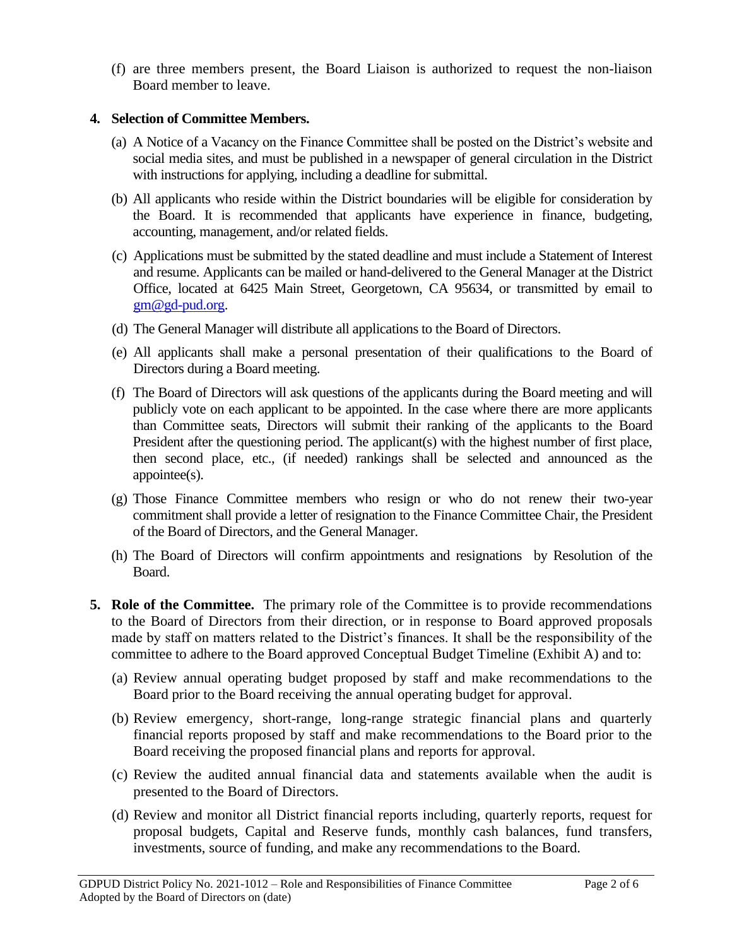(f) are three members present, the Board Liaison is authorized to request the non-liaison Board member to leave.

#### **4. Selection of Committee Members.**

- (a) A Notice of a Vacancy on the Finance Committee shall be posted on the District's website and social media sites, and must be published in a newspaper of general circulation in the District with instructions for applying, including a deadline for submittal.
- (b) All applicants who reside within the District boundaries will be eligible for consideration by the Board. It is recommended that applicants have experience in finance, budgeting, accounting, management, and/or related fields.
- (c) Applications must be submitted by the stated deadline and must include a Statement of Interest and resume. Applicants can be mailed or hand-delivered to the General Manager at the District Office, located at 6425 Main Street, Georgetown, CA 95634, or transmitted by email to [gm@gd-pud.org.](mailto:gm@gd-pud.org)
- (d) The General Manager will distribute all applications to the Board of Directors.
- (e) All applicants shall make a personal presentation of their qualifications to the Board of Directors during a Board meeting.
- (f) The Board of Directors will ask questions of the applicants during the Board meeting and will publicly vote on each applicant to be appointed. In the case where there are more applicants than Committee seats, Directors will submit their ranking of the applicants to the Board President after the questioning period. The applicant(s) with the highest number of first place, then second place, etc., (if needed) rankings shall be selected and announced as the appointee(s).
- (g) Those Finance Committee members who resign or who do not renew their two-year commitment shall provide a letter of resignation to the Finance Committee Chair, the President of the Board of Directors, and the General Manager.
- (h) The Board of Directors will confirm appointments and resignations by Resolution of the Board.
- **5. Role of the Committee.** The primary role of the Committee is to provide recommendations to the Board of Directors from their direction, or in response to Board approved proposals made by staff on matters related to the District's finances. It shall be the responsibility of the committee to adhere to the Board approved Conceptual Budget Timeline (Exhibit A) and to:
	- (a) Review annual operating budget proposed by staff and make recommendations to the Board prior to the Board receiving the annual operating budget for approval.
	- (b) Review emergency, short-range, long-range strategic financial plans and quarterly financial reports proposed by staff and make recommendations to the Board prior to the Board receiving the proposed financial plans and reports for approval.
	- (c) Review the audited annual financial data and statements available when the audit is presented to the Board of Directors.
	- (d) Review and monitor all District financial reports including, quarterly reports, request for proposal budgets, Capital and Reserve funds, monthly cash balances, fund transfers, investments, source of funding, and make any recommendations to the Board.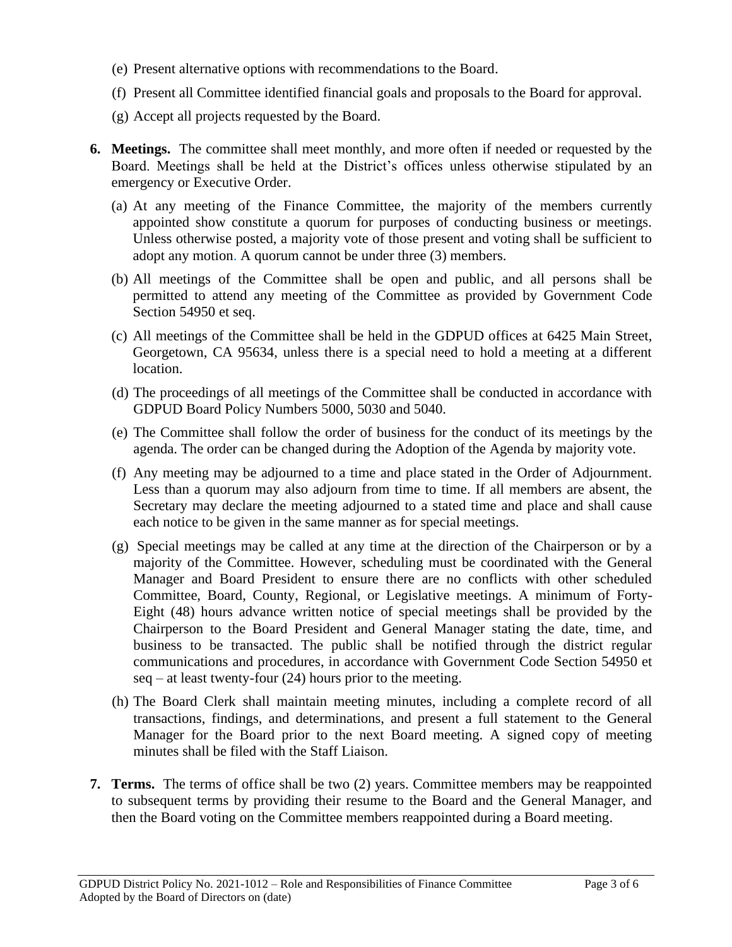- (e) Present alternative options with recommendations to the Board.
- (f) Present all Committee identified financial goals and proposals to the Board for approval.
- (g) Accept all projects requested by the Board.
- **6. Meetings.** The committee shall meet monthly, and more often if needed or requested by the Board. Meetings shall be held at the District's offices unless otherwise stipulated by an emergency or Executive Order.
	- (a) At any meeting of the Finance Committee, the majority of the members currently appointed show constitute a quorum for purposes of conducting business or meetings. Unless otherwise posted, a majority vote of those present and voting shall be sufficient to adopt any motion. A quorum cannot be under three (3) members.
	- (b) All meetings of the Committee shall be open and public, and all persons shall be permitted to attend any meeting of the Committee as provided by Government Code Section 54950 et seq.
	- (c) All meetings of the Committee shall be held in the GDPUD offices at 6425 Main Street, Georgetown, CA 95634, unless there is a special need to hold a meeting at a different location.
	- (d) The proceedings of all meetings of the Committee shall be conducted in accordance with GDPUD Board Policy Numbers 5000, 5030 and 5040.
	- (e) The Committee shall follow the order of business for the conduct of its meetings by the agenda. The order can be changed during the Adoption of the Agenda by majority vote.
	- (f) Any meeting may be adjourned to a time and place stated in the Order of Adjournment. Less than a quorum may also adjourn from time to time. If all members are absent, the Secretary may declare the meeting adjourned to a stated time and place and shall cause each notice to be given in the same manner as for special meetings.
	- (g) Special meetings may be called at any time at the direction of the Chairperson or by a majority of the Committee. However, scheduling must be coordinated with the General Manager and Board President to ensure there are no conflicts with other scheduled Committee, Board, County, Regional, or Legislative meetings. A minimum of Forty-Eight (48) hours advance written notice of special meetings shall be provided by the Chairperson to the Board President and General Manager stating the date, time, and business to be transacted. The public shall be notified through the district regular communications and procedures, in accordance with Government Code Section 54950 et  $seq - at least twenty-four (24) hours prior to the meeting.$
	- (h) The Board Clerk shall maintain meeting minutes, including a complete record of all transactions, findings, and determinations, and present a full statement to the General Manager for the Board prior to the next Board meeting. A signed copy of meeting minutes shall be filed with the Staff Liaison.
- **7. Terms.** The terms of office shall be two (2) years. Committee members may be reappointed to subsequent terms by providing their resume to the Board and the General Manager, and then the Board voting on the Committee members reappointed during a Board meeting.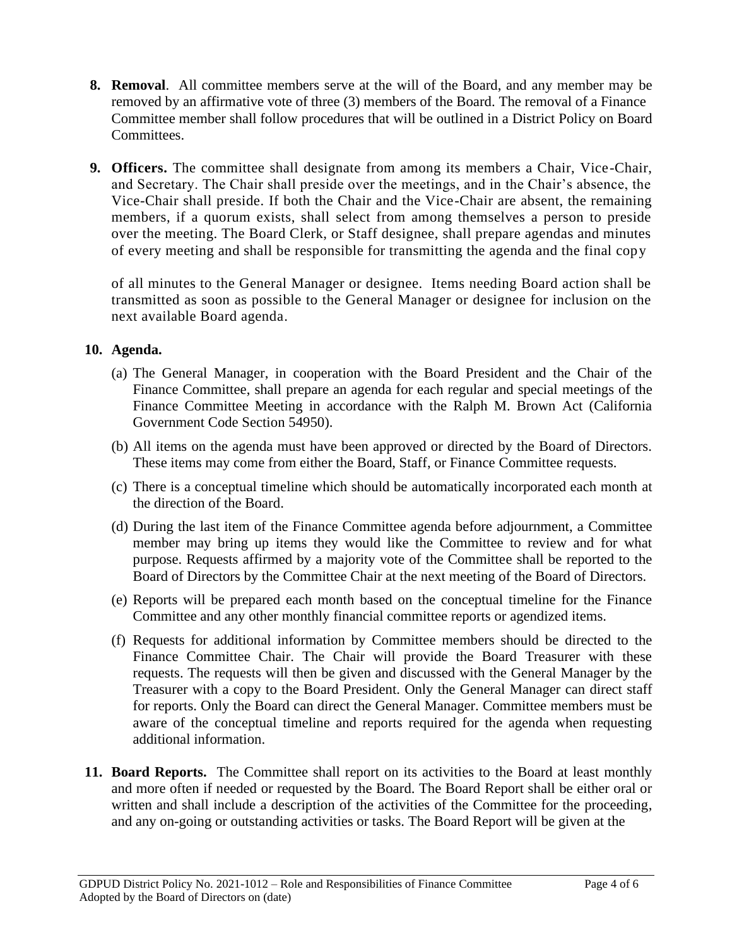- **8. Removal**. All committee members serve at the will of the Board, and any member may be removed by an affirmative vote of three (3) members of the Board. The removal of a Finance Committee member shall follow procedures that will be outlined in a District Policy on Board Committees.
- **9. Officers.** The committee shall designate from among its members a Chair, Vice-Chair, and Secretary. The Chair shall preside over the meetings, and in the Chair's absence, the Vice-Chair shall preside. If both the Chair and the Vice-Chair are absent, the remaining members, if a quorum exists, shall select from among themselves a person to preside over the meeting. The Board Clerk, or Staff designee, shall prepare agendas and minutes of every meeting and shall be responsible for transmitting the agenda and the final copy

of all minutes to the General Manager or designee. Items needing Board action shall be transmitted as soon as possible to the General Manager or designee for inclusion on the next available Board agenda.

#### **10. Agenda.**

- (a) The General Manager, in cooperation with the Board President and the Chair of the Finance Committee, shall prepare an agenda for each regular and special meetings of the Finance Committee Meeting in accordance with the Ralph M. Brown Act (California Government Code Section 54950).
- (b) All items on the agenda must have been approved or directed by the Board of Directors. These items may come from either the Board, Staff, or Finance Committee requests.
- (c) There is a conceptual timeline which should be automatically incorporated each month at the direction of the Board.
- (d) During the last item of the Finance Committee agenda before adjournment, a Committee member may bring up items they would like the Committee to review and for what purpose. Requests affirmed by a majority vote of the Committee shall be reported to the Board of Directors by the Committee Chair at the next meeting of the Board of Directors.
- (e) Reports will be prepared each month based on the conceptual timeline for the Finance Committee and any other monthly financial committee reports or agendized items.
- (f) Requests for additional information by Committee members should be directed to the Finance Committee Chair. The Chair will provide the Board Treasurer with these requests. The requests will then be given and discussed with the General Manager by the Treasurer with a copy to the Board President. Only the General Manager can direct staff for reports. Only the Board can direct the General Manager. Committee members must be aware of the conceptual timeline and reports required for the agenda when requesting additional information.
- **11. Board Reports.** The Committee shall report on its activities to the Board at least monthly and more often if needed or requested by the Board. The Board Report shall be either oral or written and shall include a description of the activities of the Committee for the proceeding, and any on-going or outstanding activities or tasks. The Board Report will be given at the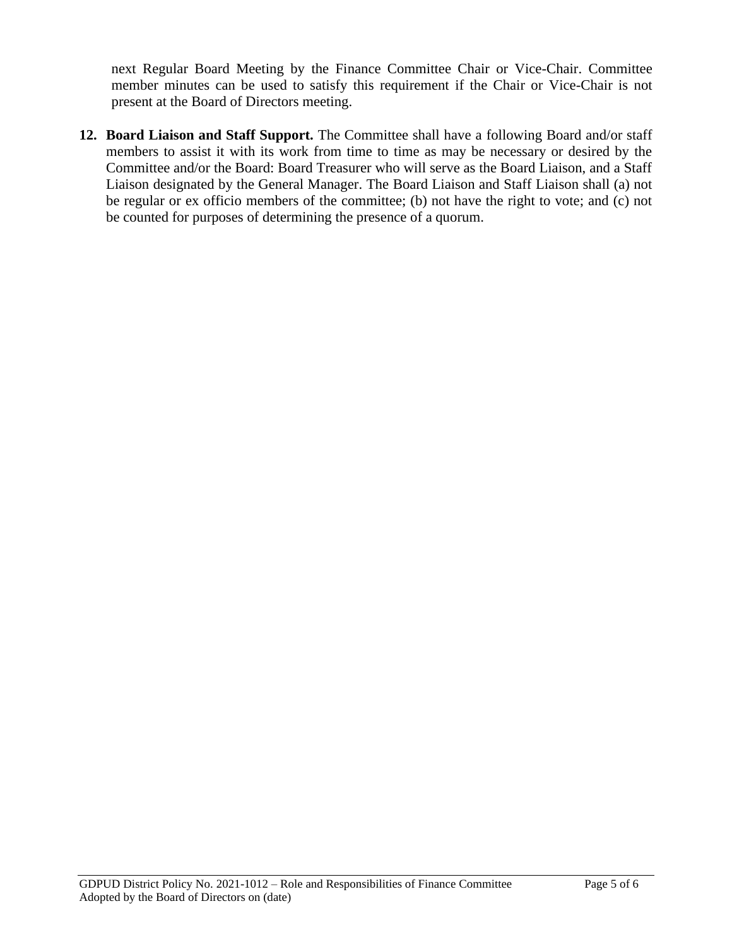next Regular Board Meeting by the Finance Committee Chair or Vice-Chair. Committee member minutes can be used to satisfy this requirement if the Chair or Vice-Chair is not present at the Board of Directors meeting.

**12. Board Liaison and Staff Support.** The Committee shall have a following Board and/or staff members to assist it with its work from time to time as may be necessary or desired by the Committee and/or the Board: Board Treasurer who will serve as the Board Liaison, and a Staff Liaison designated by the General Manager. The Board Liaison and Staff Liaison shall (a) not be regular or ex officio members of the committee; (b) not have the right to vote; and (c) not be counted for purposes of determining the presence of a quorum.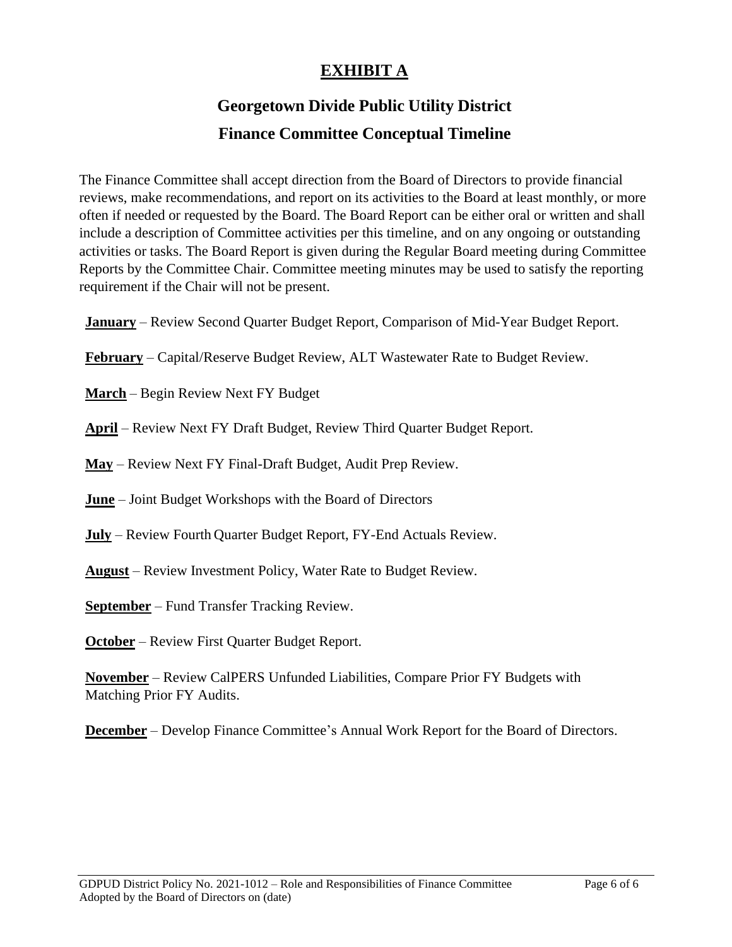# **EXHIBIT A**

# **Georgetown Divide Public Utility District Finance Committee Conceptual Timeline**

The Finance Committee shall accept direction from the Board of Directors to provide financial reviews, make recommendations, and report on its activities to the Board at least monthly, or more often if needed or requested by the Board. The Board Report can be either oral or written and shall include a description of Committee activities per this timeline, and on any ongoing or outstanding activities or tasks. The Board Report is given during the Regular Board meeting during Committee Reports by the Committee Chair. Committee meeting minutes may be used to satisfy the reporting requirement if the Chair will not be present.

**January** – Review Second Quarter Budget Report, Comparison of Mid-Year Budget Report.

**February** – Capital/Reserve Budget Review, ALT Wastewater Rate to Budget Review.

**March** – Begin Review Next FY Budget

**April** – Review Next FY Draft Budget, Review Third Quarter Budget Report.

**May** – Review Next FY Final-Draft Budget, Audit Prep Review.

**June** – Joint Budget Workshops with the Board of Directors

**July** – Review Fourth Quarter Budget Report, FY-End Actuals Review.

**August** – Review Investment Policy, Water Rate to Budget Review.

**September** – Fund Transfer Tracking Review.

**October** – Review First Quarter Budget Report.

**November** – Review CalPERS Unfunded Liabilities, Compare Prior FY Budgets with Matching Prior FY Audits.

**December** – Develop Finance Committee's Annual Work Report for the Board of Directors.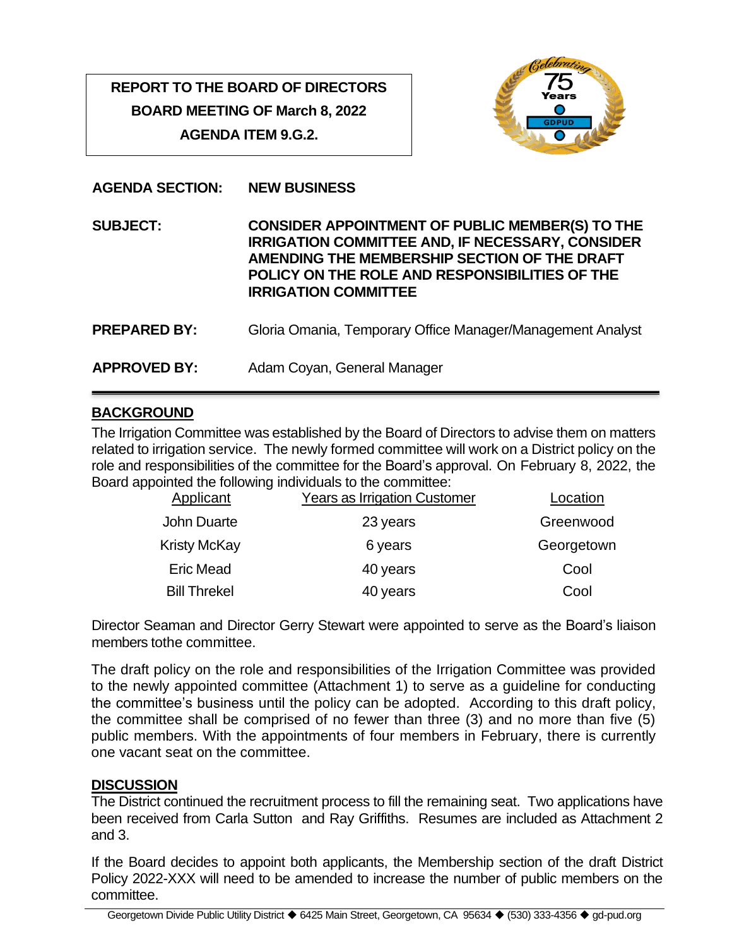# **REPORT TO THE BOARD OF DIRECTORS BOARD MEETING OF March 8, 2022 AGENDA ITEM 9.G.2.**



#### **AGENDA SECTION: NEW BUSINESS**

**SUBJECT: CONSIDER APPOINTMENT OF PUBLIC MEMBER(S) TO THE IRRIGATION COMMITTEE AND, IF NECESSARY, CONSIDER AMENDING THE MEMBERSHIP SECTION OF THE DRAFT POLICY ON THE ROLE AND RESPONSIBILITIES OF THE IRRIGATION COMMITTEE PREPARED BY:** Gloria Omania, Temporary Office Manager/Management Analyst **APPROVED BY:** Adam Coyan, General Manager

## **BACKGROUND**

The Irrigation Committee was established by the Board of Directors to advise them on matters related to irrigation service. The newly formed committee will work on a District policy on the role and responsibilities of the committee for the Board's approval. On February 8, 2022, the Board appointed the following individuals to the committee:

| Applicant           | <b>Years as Irrigation Customer</b> | Location   |
|---------------------|-------------------------------------|------------|
| <b>John Duarte</b>  | 23 years                            | Greenwood  |
| <b>Kristy McKay</b> | 6 years                             | Georgetown |
| <b>Eric Mead</b>    | 40 years                            | Cool       |
| <b>Bill Threkel</b> | 40 years                            | Cool       |

Director Seaman and Director Gerry Stewart were appointed to serve as the Board's liaison members tothe committee.

The draft policy on the role and responsibilities of the Irrigation Committee was provided to the newly appointed committee (Attachment 1) to serve as a guideline for conducting the committee's business until the policy can be adopted. According to this draft policy, the committee shall be comprised of no fewer than three (3) and no more than five (5) public members. With the appointments of four members in February, there is currently one vacant seat on the committee.

#### **DISCUSSION**

The District continued the recruitment process to fill the remaining seat. Two applications have been received from Carla Sutton and Ray Griffiths. Resumes are included as Attachment 2 and 3.

If the Board decides to appoint both applicants, the Membership section of the draft District Policy 2022-XXX will need to be amended to increase the number of public members on the committee.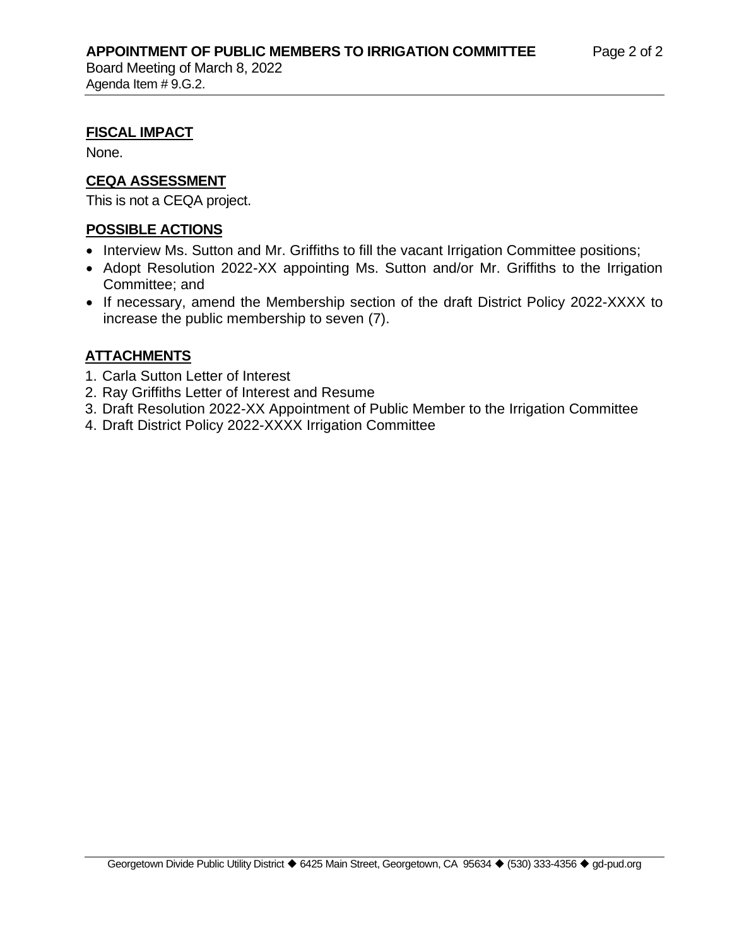Board Meeting of March 8, 2022 Agenda Item # 9.G.2.

## **FISCAL IMPACT**

None.

# **CEQA ASSESSMENT**

This is not a CEQA project.

# **POSSIBLE ACTIONS**

- Interview Ms. Sutton and Mr. Griffiths to fill the vacant Irrigation Committee positions;
- Adopt Resolution 2022-XX appointing Ms. Sutton and/or Mr. Griffiths to the Irrigation Committee; and
- If necessary, amend the Membership section of the draft District Policy 2022-XXXX to increase the public membership to seven (7).

# **ATTACHMENTS**

- 1. Carla Sutton Letter of Interest
- 2. Ray Griffiths Letter of Interest and Resume
- 3. Draft Resolution 2022-XX Appointment of Public Member to the Irrigation Committee
- 4. Draft District Policy 2022-XXXX Irrigation Committee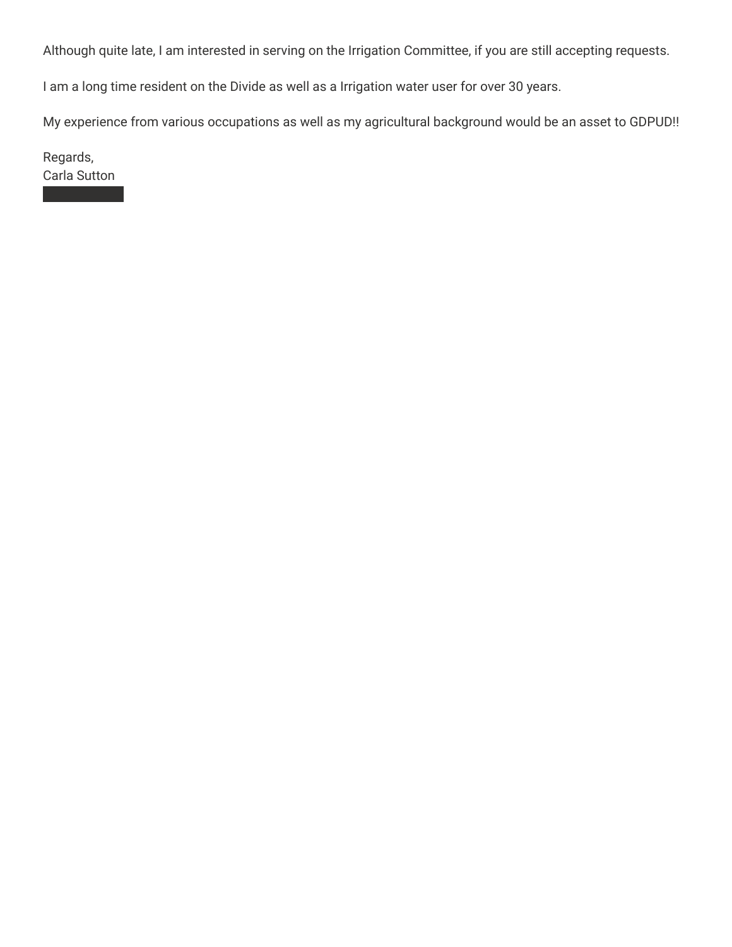Although quite late, I am interested in serving on the Irrigation Committee, if you are still accepting requests.

I am a long time resident on the Divide as well as a Irrigation water user for over 30 years.

My experience from various occupations as well as my agricultural background would be an asset to GDPUD!!

Regards, Carla Sutton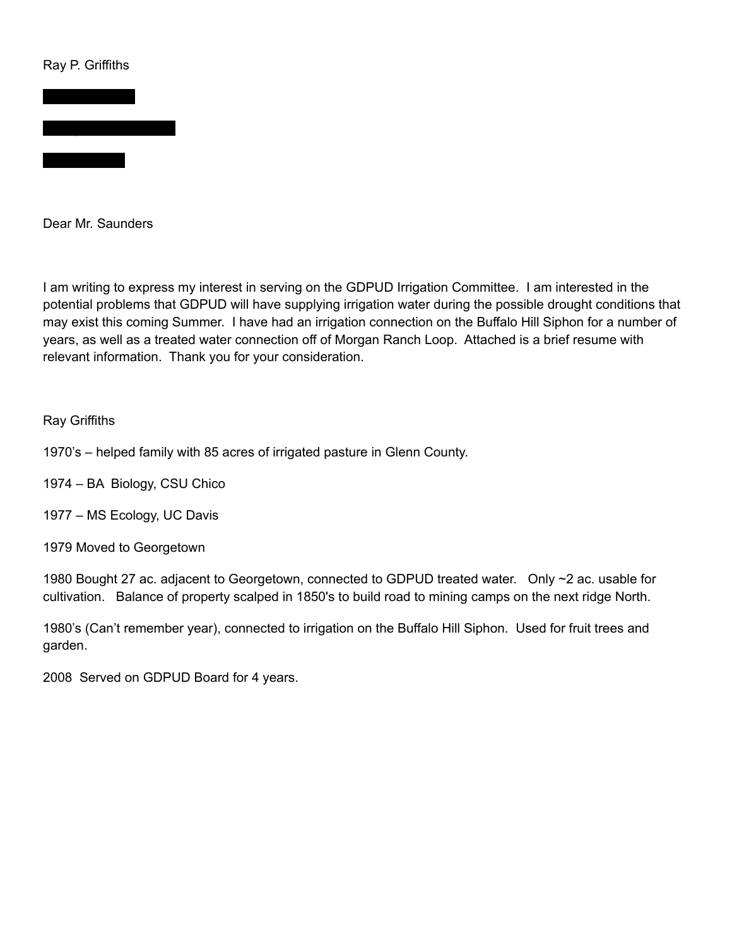#### Ray P. Griffiths



Dear Mr. Saunders

I am writing to express my interest in serving on the GDPUD Irrigation Committee. I am interested in the potential problems that GDPUD will have supplying irrigation water during the possible drought conditions that may exist this coming Summer. I have had an irrigation connection on the Buffalo Hill Siphon for a number of years, as well as a treated water connection off of Morgan Ranch Loop. Attached is a brief resume with relevant information. Thank you for your consideration.

#### Ray Griffiths

1970's – helped family with 85 acres of irrigated pasture in Glenn County.

- 1974 BA Biology, CSU Chico
- 1977 MS Ecology, UC Davis
- 1979 Moved to Georgetown

1980 Bought 27 ac. adjacent to Georgetown, connected to GDPUD treated water. Only ~2 ac. usable for cultivation. Balance of property scalped in 1850's to build road to mining camps on the next ridge North.

1980's (Can't remember year), connected to irrigation on the Buffalo Hill Siphon. Used for fruit trees and garden.

2008 Served on GDPUD Board for 4 years.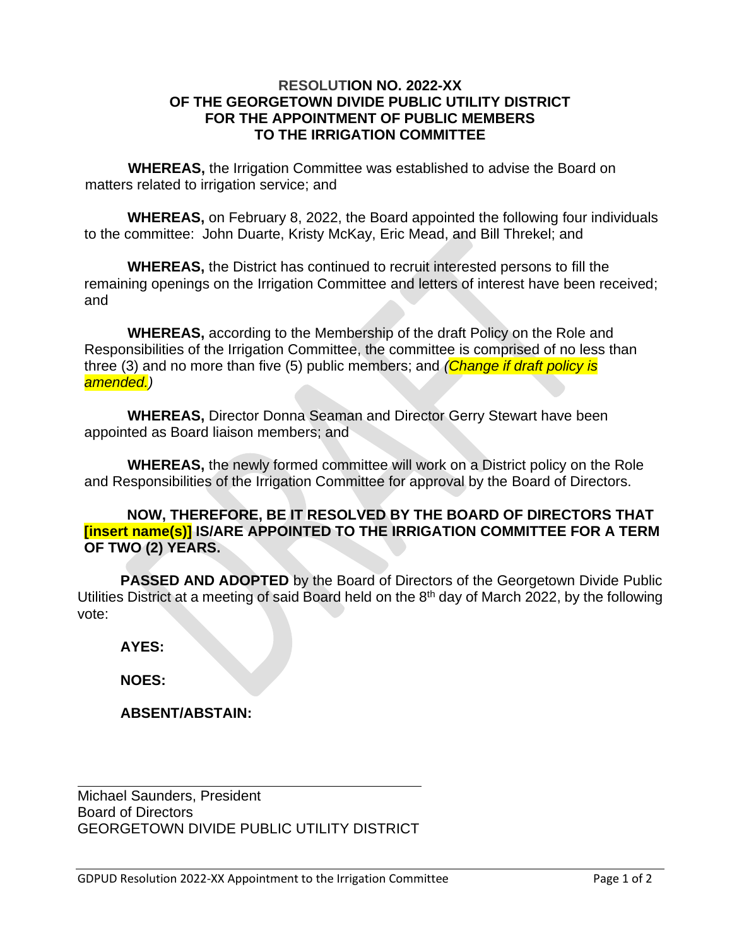#### **RESOLUTION NO. 2022-XX OF THE GEORGETOWN DIVIDE PUBLIC UTILITY DISTRICT FOR THE APPOINTMENT OF PUBLIC MEMBERS TO THE IRRIGATION COMMITTEE**

**WHEREAS,** the Irrigation Committee was established to advise the Board on matters related to irrigation service; and

**WHEREAS,** on February 8, 2022, the Board appointed the following four individuals to the committee: John Duarte, Kristy McKay, Eric Mead, and Bill Threkel; and

**WHEREAS,** the District has continued to recruit interested persons to fill the remaining openings on the Irrigation Committee and letters of interest have been received; and

**WHEREAS,** according to the Membership of the draft Policy on the Role and Responsibilities of the Irrigation Committee, the committee is comprised of no less than three (3) and no more than five (5) public members; and *(Change if draft policy is amended.)* 

**WHEREAS,** Director Donna Seaman and Director Gerry Stewart have been appointed as Board liaison members; and

**WHEREAS,** the newly formed committee will work on a District policy on the Role and Responsibilities of the Irrigation Committee for approval by the Board of Directors.

#### **NOW, THEREFORE, BE IT RESOLVED BY THE BOARD OF DIRECTORS THAT [insert name(s)] IS/ARE APPOINTED TO THE IRRIGATION COMMITTEE FOR A TERM OF TWO (2) YEARS.**

**PASSED AND ADOPTED** by the Board of Directors of the Georgetown Divide Public Utilities District at a meeting of said Board held on the 8<sup>th</sup> day of March 2022, by the following vote:

**AYES:** 

**NOES:** 

**ABSENT/ABSTAIN:** 

Michael Saunders, President Board of Directors GEORGETOWN DIVIDE PUBLIC UTILITY DISTRICT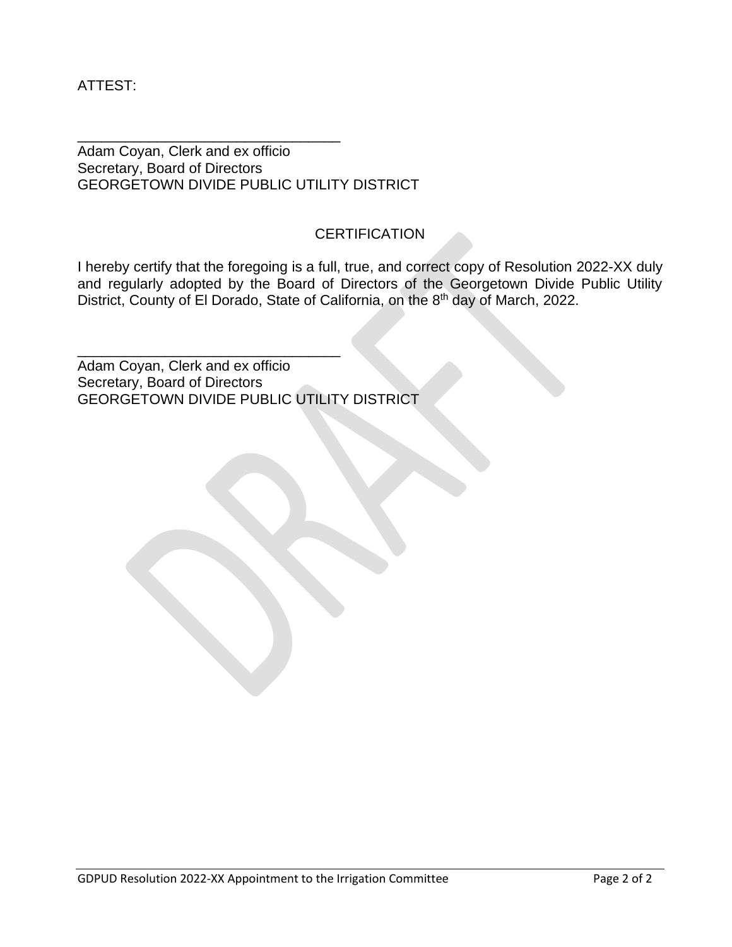ATTEST:

Adam Coyan, Clerk and ex officio Secretary, Board of Directors GEORGETOWN DIVIDE PUBLIC UTILITY DISTRICT

\_\_\_\_\_\_\_\_\_\_\_\_\_\_\_\_\_\_\_\_\_\_\_\_\_\_\_\_\_\_\_\_\_

\_\_\_\_\_\_\_\_\_\_\_\_\_\_\_\_\_\_\_\_\_\_\_\_\_\_\_\_\_\_\_\_\_

## **CERTIFICATION**

I hereby certify that the foregoing is a full, true, and correct copy of Resolution 2022-XX duly and regularly adopted by the Board of Directors of the Georgetown Divide Public Utility District, County of El Dorado, State of California, on the 8<sup>th</sup> day of March, 2022.

Adam Coyan, Clerk and ex officio Secretary, Board of Directors GEORGETOWN DIVIDE PUBLIC UTILITY DISTRICT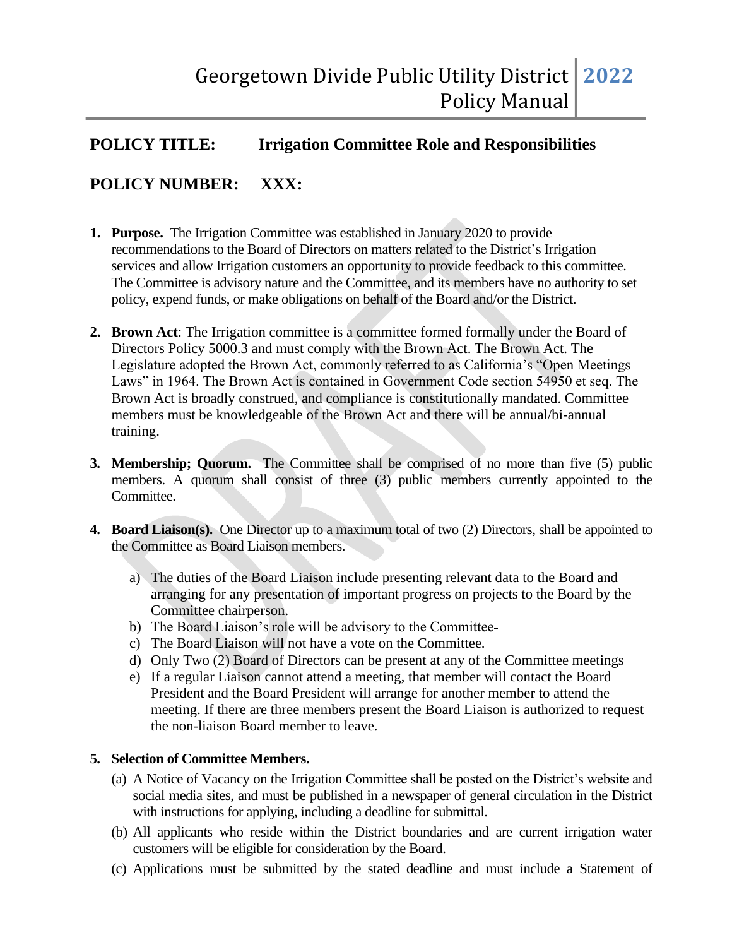# **POLICY TITLE: Irrigation Committee Role and Responsibilities**

# **POLICY NUMBER: XXX:**

- **1. Purpose.** The Irrigation Committee was established in January 2020 to provide recommendations to the Board of Directors on matters related to the District's Irrigation services and allow Irrigation customers an opportunity to provide feedback to this committee. The Committee is advisory nature and the Committee, and its members have no authority to set policy, expend funds, or make obligations on behalf of the Board and/or the District.
- **2. Brown Act**: The Irrigation committee is a committee formed formally under the Board of Directors Policy 5000.3 and must comply with the Brown Act. The Brown Act. The Legislature adopted the Brown Act, commonly referred to as California's "Open Meetings Laws" in 1964. The Brown Act is contained in Government Code section 54950 et seq. The Brown Act is broadly construed, and compliance is constitutionally mandated. Committee members must be knowledgeable of the Brown Act and there will be annual/bi-annual training.
- **3. Membership; Quorum.** The Committee shall be comprised of no more than five (5) public members. A quorum shall consist of three (3) public members currently appointed to the Committee.
- **4. Board Liaison(s).** One Director up to a maximum total of two (2) Directors, shall be appointed to the Committee as Board Liaison members.
	- a) The duties of the Board Liaison include presenting relevant data to the Board and arranging for any presentation of important progress on projects to the Board by the Committee chairperson.
	- b) The Board Liaison's role will be advisory to the Committee
	- c) The Board Liaison will not have a vote on the Committee.
	- d) Only Two (2) Board of Directors can be present at any of the Committee meetings
	- e) If a regular Liaison cannot attend a meeting, that member will contact the Board President and the Board President will arrange for another member to attend the meeting. If there are three members present the Board Liaison is authorized to request the non-liaison Board member to leave.

#### **5. Selection of Committee Members.**

- (a) A Notice of Vacancy on the Irrigation Committee shall be posted on the District's website and social media sites, and must be published in a newspaper of general circulation in the District with instructions for applying, including a deadline for submittal.
- (b) All applicants who reside within the District boundaries and are current irrigation water customers will be eligible for consideration by the Board.
- (c) Applications must be submitted by the stated deadline and must include a Statement of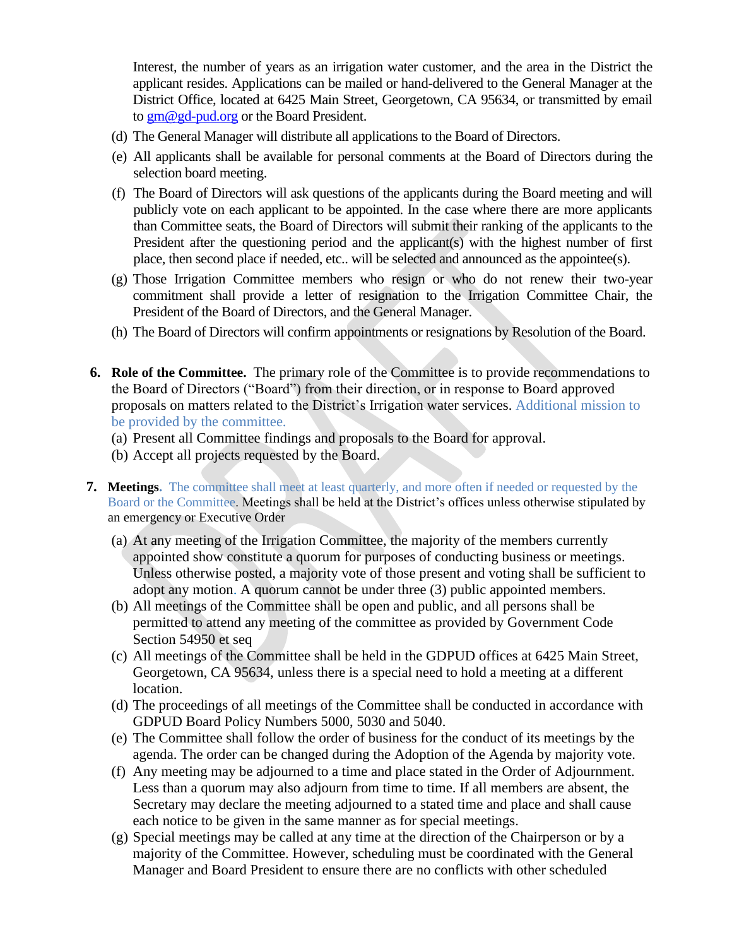Interest, the number of years as an irrigation water customer, and the area in the District the applicant resides. Applications can be mailed or hand-delivered to the General Manager at the District Office, located at 6425 Main Street, Georgetown, CA 95634, or transmitted by email to [gm@gd-pud.org](mailto:gm@gd-pud.org) or the Board President.

- (d) The General Manager will distribute all applications to the Board of Directors.
- (e) All applicants shall be available for personal comments at the Board of Directors during the selection board meeting.
- (f) The Board of Directors will ask questions of the applicants during the Board meeting and will publicly vote on each applicant to be appointed. In the case where there are more applicants than Committee seats, the Board of Directors will submit their ranking of the applicants to the President after the questioning period and the applicant(s) with the highest number of first place, then second place if needed, etc.. will be selected and announced as the appointee(s).
- (g) Those Irrigation Committee members who resign or who do not renew their two-year commitment shall provide a letter of resignation to the Irrigation Committee Chair, the President of the Board of Directors, and the General Manager.
- (h) The Board of Directors will confirm appointments or resignations by Resolution of the Board.
- **6. Role of the Committee.** The primary role of the Committee is to provide recommendations to the Board of Directors ("Board") from their direction, or in response to Board approved proposals on matters related to the District's Irrigation water services. Additional mission to be provided by the committee.
	- (a) Present all Committee findings and proposals to the Board for approval.
	- (b) Accept all projects requested by the Board.
- **7. Meetings.** The committee shall meet at least quarterly, and more often if needed or requested by the Board or the Committee. Meetings shall be held at the District's offices unless otherwise stipulated by an emergency or Executive Order
	- (a) At any meeting of the Irrigation Committee, the majority of the members currently appointed show constitute a quorum for purposes of conducting business or meetings. Unless otherwise posted, a majority vote of those present and voting shall be sufficient to adopt any motion. A quorum cannot be under three (3) public appointed members.
	- (b) All meetings of the Committee shall be open and public, and all persons shall be permitted to attend any meeting of the committee as provided by Government Code Section 54950 et seq
	- (c) All meetings of the Committee shall be held in the GDPUD offices at 6425 Main Street, Georgetown, CA 95634, unless there is a special need to hold a meeting at a different location.
	- (d) The proceedings of all meetings of the Committee shall be conducted in accordance with GDPUD Board Policy Numbers 5000, 5030 and 5040.
	- (e) The Committee shall follow the order of business for the conduct of its meetings by the agenda. The order can be changed during the Adoption of the Agenda by majority vote.
	- (f) Any meeting may be adjourned to a time and place stated in the Order of Adjournment. Less than a quorum may also adjourn from time to time. If all members are absent, the Secretary may declare the meeting adjourned to a stated time and place and shall cause each notice to be given in the same manner as for special meetings.
	- (g) Special meetings may be called at any time at the direction of the Chairperson or by a majority of the Committee. However, scheduling must be coordinated with the General Manager and Board President to ensure there are no conflicts with other scheduled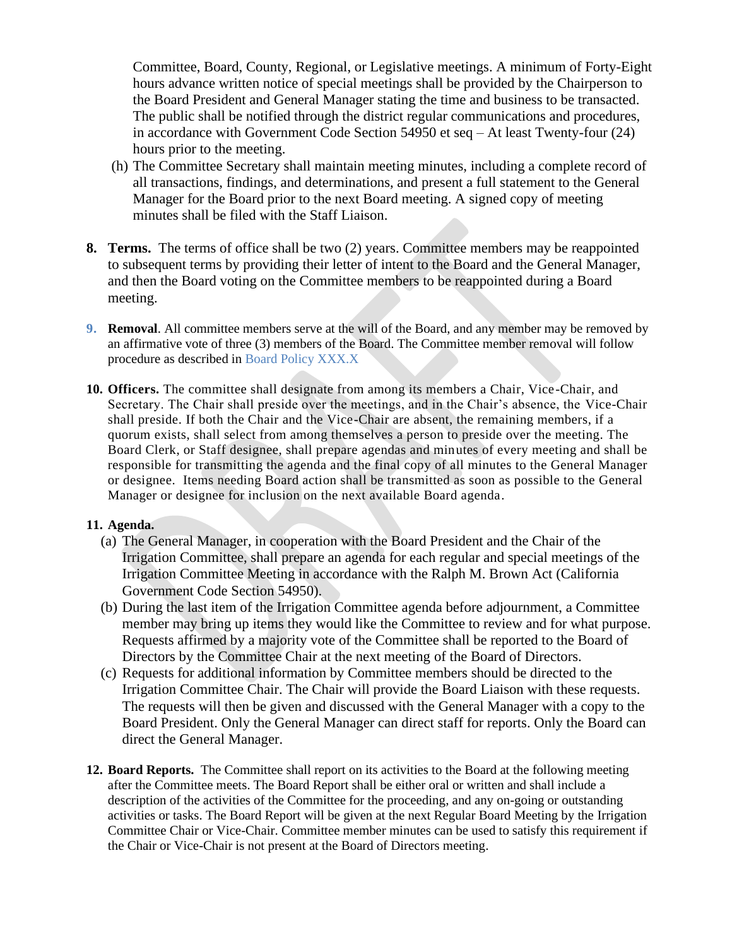Committee, Board, County, Regional, or Legislative meetings. A minimum of Forty-Eight hours advance written notice of special meetings shall be provided by the Chairperson to the Board President and General Manager stating the time and business to be transacted. The public shall be notified through the district regular communications and procedures, in accordance with Government Code Section 54950 et seq – At least Twenty-four (24) hours prior to the meeting.

- (h) The Committee Secretary shall maintain meeting minutes, including a complete record of all transactions, findings, and determinations, and present a full statement to the General Manager for the Board prior to the next Board meeting. A signed copy of meeting minutes shall be filed with the Staff Liaison.
- **8. Terms.** The terms of office shall be two (2) years. Committee members may be reappointed to subsequent terms by providing their letter of intent to the Board and the General Manager, and then the Board voting on the Committee members to be reappointed during a Board meeting.
- **9. Removal**. All committee members serve at the will of the Board, and any member may be removed by an affirmative vote of three (3) members of the Board. The Committee member removal will follow procedure as described in Board Policy XXX.X
- **10. Officers.** The committee shall designate from among its members a Chair, Vice-Chair, and Secretary. The Chair shall preside over the meetings, and in the Chair's absence, the Vice-Chair shall preside. If both the Chair and the Vice-Chair are absent, the remaining members, if a quorum exists, shall select from among themselves a person to preside over the meeting. The Board Clerk, or Staff designee, shall prepare agendas and minutes of every meeting and shall be responsible for transmitting the agenda and the final copy of all minutes to the General Manager or designee. Items needing Board action shall be transmitted as soon as possible to the General Manager or designee for inclusion on the next available Board agenda.

#### **11. Agenda.**

- (a) The General Manager, in cooperation with the Board President and the Chair of the Irrigation Committee, shall prepare an agenda for each regular and special meetings of the Irrigation Committee Meeting in accordance with the Ralph M. Brown Act (California Government Code Section 54950).
- (b) During the last item of the Irrigation Committee agenda before adjournment, a Committee member may bring up items they would like the Committee to review and for what purpose. Requests affirmed by a majority vote of the Committee shall be reported to the Board of Directors by the Committee Chair at the next meeting of the Board of Directors.
- (c) Requests for additional information by Committee members should be directed to the Irrigation Committee Chair. The Chair will provide the Board Liaison with these requests. The requests will then be given and discussed with the General Manager with a copy to the Board President. Only the General Manager can direct staff for reports. Only the Board can direct the General Manager.
- **12. Board Reports.** The Committee shall report on its activities to the Board at the following meeting after the Committee meets. The Board Report shall be either oral or written and shall include a description of the activities of the Committee for the proceeding, and any on-going or outstanding activities or tasks. The Board Report will be given at the next Regular Board Meeting by the Irrigation Committee Chair or Vice-Chair. Committee member minutes can be used to satisfy this requirement if the Chair or Vice-Chair is not present at the Board of Directors meeting.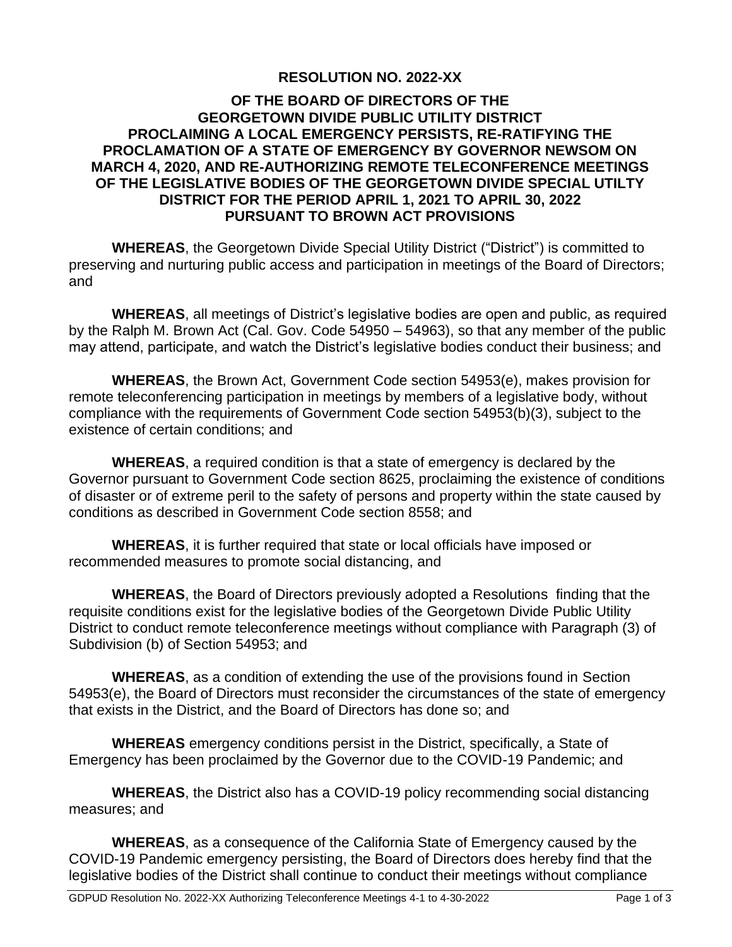#### **RESOLUTION NO. 2022-XX**

#### **OF THE BOARD OF DIRECTORS OF THE GEORGETOWN DIVIDE PUBLIC UTILITY DISTRICT PROCLAIMING A LOCAL EMERGENCY PERSISTS, RE-RATIFYING THE PROCLAMATION OF A STATE OF EMERGENCY BY GOVERNOR NEWSOM ON MARCH 4, 2020, AND RE-AUTHORIZING REMOTE TELECONFERENCE MEETINGS OF THE LEGISLATIVE BODIES OF THE GEORGETOWN DIVIDE SPECIAL UTILTY DISTRICT FOR THE PERIOD APRIL 1, 2021 TO APRIL 30, 2022 PURSUANT TO BROWN ACT PROVISIONS**

**WHEREAS**, the Georgetown Divide Special Utility District ("District") is committed to preserving and nurturing public access and participation in meetings of the Board of Directors; and

**WHEREAS**, all meetings of District's legislative bodies are open and public, as required by the Ralph M. Brown Act (Cal. Gov. Code 54950 – 54963), so that any member of the public may attend, participate, and watch the District's legislative bodies conduct their business; and

**WHEREAS**, the Brown Act, Government Code section 54953(e), makes provision for remote teleconferencing participation in meetings by members of a legislative body, without compliance with the requirements of Government Code section 54953(b)(3), subject to the existence of certain conditions; and

**WHEREAS**, a required condition is that a state of emergency is declared by the Governor pursuant to Government Code section 8625, proclaiming the existence of conditions of disaster or of extreme peril to the safety of persons and property within the state caused by conditions as described in Government Code section 8558; and

**WHEREAS**, it is further required that state or local officials have imposed or recommended measures to promote social distancing, and

**WHEREAS**, the Board of Directors previously adopted a Resolutions finding that the requisite conditions exist for the legislative bodies of the Georgetown Divide Public Utility District to conduct remote teleconference meetings without compliance with Paragraph (3) of Subdivision (b) of Section 54953; and

**WHEREAS**, as a condition of extending the use of the provisions found in Section 54953(e), the Board of Directors must reconsider the circumstances of the state of emergency that exists in the District, and the Board of Directors has done so; and

**WHEREAS** emergency conditions persist in the District, specifically, a State of Emergency has been proclaimed by the Governor due to the COVID-19 Pandemic; and

**WHEREAS**, the District also has a COVID-19 policy recommending social distancing measures; and

**WHEREAS**, as a consequence of the California State of Emergency caused by the COVID-19 Pandemic emergency persisting, the Board of Directors does hereby find that the legislative bodies of the District shall continue to conduct their meetings without compliance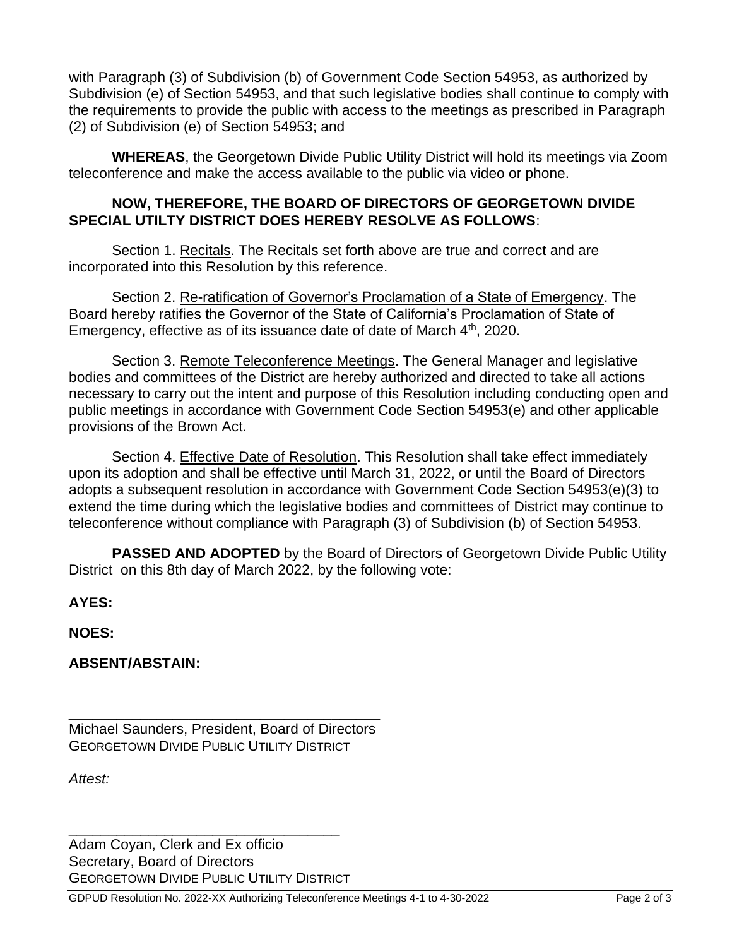with Paragraph (3) of Subdivision (b) of Government Code Section 54953, as authorized by Subdivision (e) of Section 54953, and that such legislative bodies shall continue to comply with the requirements to provide the public with access to the meetings as prescribed in Paragraph (2) of Subdivision (e) of Section 54953; and

**WHEREAS**, the Georgetown Divide Public Utility District will hold its meetings via Zoom teleconference and make the access available to the public via video or phone.

#### **NOW, THEREFORE, THE BOARD OF DIRECTORS OF GEORGETOWN DIVIDE SPECIAL UTILTY DISTRICT DOES HEREBY RESOLVE AS FOLLOWS**:

Section 1. Recitals. The Recitals set forth above are true and correct and are incorporated into this Resolution by this reference.

Section 2. Re-ratification of Governor's Proclamation of a State of Emergency. The Board hereby ratifies the Governor of the State of California's Proclamation of State of Emergency, effective as of its issuance date of date of March  $4<sup>th</sup>$ , 2020.

Section 3. Remote Teleconference Meetings. The General Manager and legislative bodies and committees of the District are hereby authorized and directed to take all actions necessary to carry out the intent and purpose of this Resolution including conducting open and public meetings in accordance with Government Code Section 54953(e) and other applicable provisions of the Brown Act.

Section 4. Effective Date of Resolution. This Resolution shall take effect immediately upon its adoption and shall be effective until March 31, 2022, or until the Board of Directors adopts a subsequent resolution in accordance with Government Code Section 54953(e)(3) to extend the time during which the legislative bodies and committees of District may continue to teleconference without compliance with Paragraph (3) of Subdivision (b) of Section 54953.

**PASSED AND ADOPTED** by the Board of Directors of Georgetown Divide Public Utility District on this 8th day of March 2022, by the following vote:

**AYES:** 

**NOES:** 

**ABSENT/ABSTAIN:** 

\_\_\_\_\_\_\_\_\_\_\_\_\_\_\_\_\_\_\_\_\_\_\_\_\_\_\_\_\_\_\_\_\_\_\_\_\_\_\_ Michael Saunders, President, Board of Directors GEORGETOWN DIVIDE PUBLIC UTILITY DISTRICT

*Attest:*

Adam Coyan, Clerk and Ex officio Secretary, Board of Directors **GEORGETOWN DIVIDE PUBLIC UTILITY DISTRICT** 

\_\_\_\_\_\_\_\_\_\_\_\_\_\_\_\_\_\_\_\_\_\_\_\_\_\_\_\_\_\_\_\_\_\_